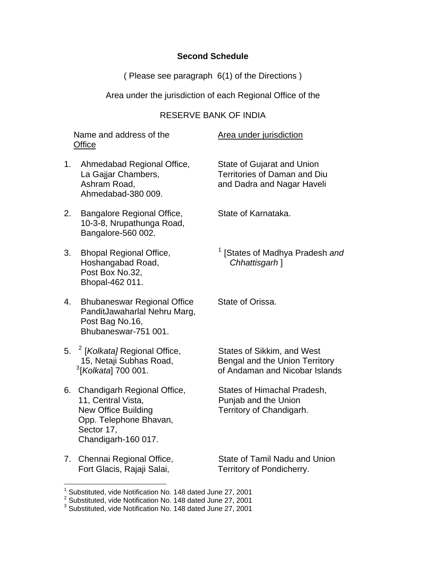### **Second Schedule**

( Please see paragraph 6(1) of the Directions )

Area under the jurisdiction of each Regional Office of the

# RESERVE BANK OF INDIA

Name and address of the Area under jurisdiction **Office** 

- 1. Ahmedabad Regional Office, State of Gujarat and Union Ahmedabad-380 009.
- 2. Bangalore Regional Office, State of Karnataka. 10-3-8, Nrupathunga Road, Bangalore-560 002.
- 3. Bhopal Regional Office, [1](#page-0-0) Hoshangabad Road, *Chhattisgarh* ] Post Box No.32, Bhopal-462 011.
- 4. Bhubaneswar Regional Office State of Orissa. PanditJawaharlal Nehru Marg, Post Bag No.16, Bhubaneswar-751 001.
- 5. <sup>[2](#page-0-1)</sup> [*Kolkata]* Regional Office, States of Sikkim, and West <sup>[3](#page-0-2)</sup>[Kolkata] 700 001.
- 6. Chandigarh Regional Office, States of Himachal Pradesh, 11, Central Vista, **Puniab and the Union** New Office Building Territory of Chandigarh. Opp. Telephone Bhavan, Sector 17, Chandigarh-160 017.
- Fort Glacis, Rajaji Salai, Territory of Pondicherry.

 $\overline{a}$ 

La Gajjar Chambers, Territories of Daman and Diu Ashram Road, and Dadra and Nagar Haveli

<sup>1</sup> [States of Madhya Pradesh and

15, Netaji Subhas Road, Bengal and the Union Territory [*Kolkata*] 700 001. of Andaman and Nicobar Islands

7. Chennai Regional Office, State of Tamil Nadu and Union

<span id="page-0-0"></span><sup>&</sup>lt;sup>1</sup> Substituted, vide Notification No. 148 dated June 27, 2001

<span id="page-0-1"></span><sup>&</sup>lt;sup>2</sup> Substituted, vide Notification No. 148 dated June 27, 2001

<span id="page-0-2"></span><sup>&</sup>lt;sup>3</sup> Substituted, vide Notification No. 148 dated June 27, 2001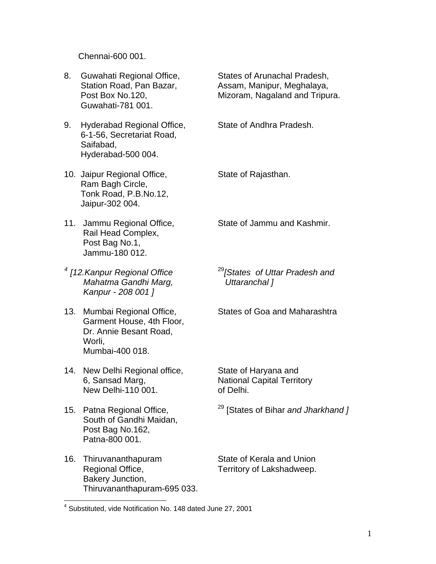Chennai-600 001.

- 8. Guwahati Regional Office, States of Arunachal Pradesh, Guwahati-781 001.
- 9. Hyderabad Regional Office, State of Andhra Pradesh. 6-1-56, Secretariat Road, Saifabad, Hyderabad-500 004.
- 10. Jaipur Regional Office, State of Rajasthan. Ram Bagh Circle, Tonk Road, P.B.No.12, Jaipur-302 004.
- Rail Head Complex, Post Bag No.1, Jammu-180 012.
- <sup>[4](#page-1-0)</sup> [12. Kanpur Regional Office  *Mahatma Gandhi Marg, Uttaranchal ] Kanpur - 208 001 ]*
- 13. Mumbai Regional Office, States of Goa and Maharashtra Garment House, 4th Floor, Dr. Annie Besant Road, Worli, Mumbai-400 018.
- 14. New Delhi Regional office, State of Haryana and 6, Sansad Marg, National Capital Territory New Delhi-110 001. of Delhi.
- South of Gandhi Maidan, Post Bag No.162, Patna-800 001.
- 16. Thiruvananthapuram State of Kerala and Union Regional Office, Territory of Lakshadweep. Bakery Junction, Thiruvananthapuram-695 033.

Station Road, Pan Bazar, Assam, Manipur, Meghalaya, Post Box No.120, Mizoram, Nagaland and Tripura.

- 
- 

11. Jammu Regional Office, State of Jammu and Kashmir.

<sup>29</sup><sup>[States of Uttar Pradesh and</sup>

15. Patna Regional Office, 29 [States of Bihar *and Jharkhand ]*

<span id="page-1-0"></span> 4 Substituted, vide Notification No. 148 dated June 27, 2001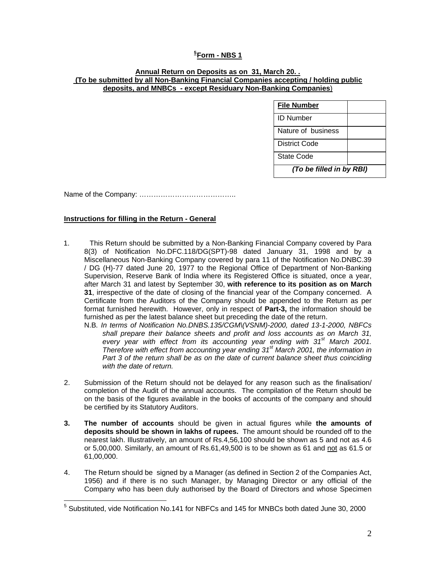### **[5](#page-2-0) Form - NBS 1**

#### **Annual Return on Deposits as on 31, March 20. . (To be submitted by all Non-Banking Financial Companies accepting / holding public deposits, and MNBCs - except Residuary Non-Banking Companies**)

| <b>File Number</b>       |  |  |
|--------------------------|--|--|
| ID Number                |  |  |
| Nature of business       |  |  |
| District Code            |  |  |
| State Code               |  |  |
| (To be filled in by RBI) |  |  |

Name of the Company: …………………………………..

#### **Instructions for filling in the Return - General**

- 1. This Return should be submitted by a Non-Banking Financial Company covered by Para 8(3) of Notification No.DFC.118/DG(SPT)-98 dated January 31, 1998 and by a Miscellaneous Non-Banking Company covered by para 11 of the Notification No.DNBC.39 / DG (H)-77 dated June 20, 1977 to the Regional Office of Department of Non-Banking Supervision, Reserve Bank of India where its Registered Office is situated, once a year, after March 31 and latest by September 30, **with reference to its position as on March 31**, irrespective of the date of closing of the financial year of the Company concerned. A Certificate from the Auditors of the Company should be appended to the Return as per format furnished herewith. However, only in respect of **Part-3,** the information should be furnished as per the latest balance sheet but preceding the date of the return.
	- N.B*. In terms of Notification No.DNBS.135/CGM\(VSNM)-2000, dated 13-1-2000, NBFCs shall prepare their balance sheets and profit and loss accounts as on March 31,*  every year with effect from its accounting year ending with 31<sup>st</sup> March 2001. *Therefore with effect from accounting year ending 31st March 2001, the information in Part 3 of the return shall be as on the date of current balance sheet thus coinciding with the date of return.*
- 2. Submission of the Return should not be delayed for any reason such as the finalisation/ completion of the Audit of the annual accounts. The compilation of the Return should be on the basis of the figures available in the books of accounts of the company and should be certified by its Statutory Auditors.
- **3. The number of accounts** should be given in actual figures while **the amounts of deposits should be shown in lakhs of rupees.** The amount should be rounded off to the nearest lakh. Illustratively, an amount of Rs.4,56,100 should be shown as 5 and not as 4.6 or 5,00,000. Similarly, an amount of Rs.61,49,500 is to be shown as 61 and not as 61.5 or 61,00,000.
- 4. The Return should be signed by a Manager (as defined in Section 2 of the Companies Act, 1956) and if there is no such Manager, by Managing Director or any official of the Company who has been duly authorised by the Board of Directors and whose Specimen

<span id="page-2-0"></span> 5 Substituted, vide Notification No.141 for NBFCs and 145 for MNBCs both dated June 30, 2000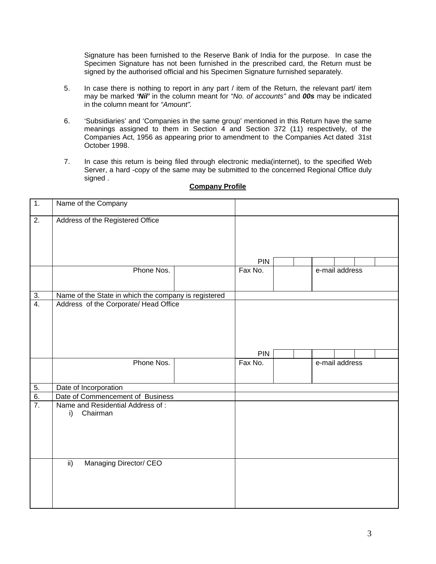Signature has been furnished to the Reserve Bank of India for the purpose. In case the Specimen Signature has not been furnished in the prescribed card, the Return must be signed by the authorised official and his Specimen Signature furnished separately.

- 5. In case there is nothing to report in any part / item of the Return, the relevant part/ item may be marked *'Nil'* in the column meant for *"No. of accounts"* and *00s* may be indicated in the column meant for *"Amount".*
- 6. 'Subsidiaries' and 'Companies in the same group' mentioned in this Return have the same meanings assigned to them in Section  $\overline{4}$  and Section 372 (11) respectively, of the Companies Act, 1956 as appearing prior to amendment to the Companies Act dated 31st October 1998.
- 7. In case this return is being filed through electronic media(internet), to the specified Web Server, a hard -copy of the same may be submitted to the concerned Regional Office duly signed .

| $\mathbf{1}$ .   | Name of the Company                                  |            |  |                |  |
|------------------|------------------------------------------------------|------------|--|----------------|--|
| $\overline{2}$ . | Address of the Registered Office                     |            |  |                |  |
|                  |                                                      | <b>PIN</b> |  |                |  |
|                  | Phone Nos.                                           | Fax No.    |  | e-mail address |  |
| $\frac{3}{4}$    | Name of the State in which the company is registered |            |  |                |  |
|                  | Address of the Corporate/ Head Office                |            |  |                |  |
|                  |                                                      | PIN        |  |                |  |
|                  | Phone Nos.                                           | Fax No.    |  | e-mail address |  |
| 5.               | Date of Incorporation                                |            |  |                |  |
| 6.               | Date of Commencement of Business                     |            |  |                |  |
| $\overline{7}$ . | Name and Residential Address of:<br>Chairman<br>i)   |            |  |                |  |
|                  | Managing Director/ CEO<br>$\overline{ii}$            |            |  |                |  |

### **Company Profile**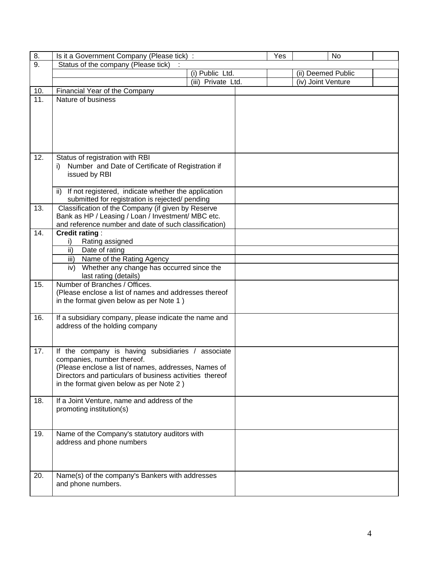| 8.  | Is it a Government Company (Please tick) :                                                                    |                    | Yes |                    | No |  |
|-----|---------------------------------------------------------------------------------------------------------------|--------------------|-----|--------------------|----|--|
| 9.  | Status of the company (Please tick)                                                                           |                    |     |                    |    |  |
|     |                                                                                                               | (i) Public Ltd.    |     | (ii) Deemed Public |    |  |
|     |                                                                                                               | (iii) Private Ltd. |     | (iv) Joint Venture |    |  |
| 10. | Financial Year of the Company                                                                                 |                    |     |                    |    |  |
| 11. | Nature of business                                                                                            |                    |     |                    |    |  |
|     |                                                                                                               |                    |     |                    |    |  |
|     |                                                                                                               |                    |     |                    |    |  |
|     |                                                                                                               |                    |     |                    |    |  |
|     |                                                                                                               |                    |     |                    |    |  |
|     |                                                                                                               |                    |     |                    |    |  |
| 12. | Status of registration with RBI                                                                               |                    |     |                    |    |  |
|     | Number and Date of Certificate of Registration if<br>i).                                                      |                    |     |                    |    |  |
|     | issued by RBI                                                                                                 |                    |     |                    |    |  |
|     |                                                                                                               |                    |     |                    |    |  |
|     | If not registered, indicate whether the application<br>ii)<br>submitted for registration is rejected/ pending |                    |     |                    |    |  |
| 13. | Classification of the Company (if given by Reserve                                                            |                    |     |                    |    |  |
|     | Bank as HP / Leasing / Loan / Investment/ MBC etc.                                                            |                    |     |                    |    |  |
|     | and reference number and date of such classification)                                                         |                    |     |                    |    |  |
| 14. | <b>Credit rating:</b>                                                                                         |                    |     |                    |    |  |
|     | Rating assigned<br>i)                                                                                         |                    |     |                    |    |  |
|     | ii)<br>Date of rating                                                                                         |                    |     |                    |    |  |
|     | Name of the Rating Agency<br>iii)                                                                             |                    |     |                    |    |  |
|     | Whether any change has occurred since the<br>iv)<br>last rating (details)                                     |                    |     |                    |    |  |
| 15. | Number of Branches / Offices.                                                                                 |                    |     |                    |    |  |
|     | (Please enclose a list of names and addresses thereof                                                         |                    |     |                    |    |  |
|     | in the format given below as per Note 1)                                                                      |                    |     |                    |    |  |
|     |                                                                                                               |                    |     |                    |    |  |
| 16. | If a subsidiary company, please indicate the name and                                                         |                    |     |                    |    |  |
|     | address of the holding company                                                                                |                    |     |                    |    |  |
|     |                                                                                                               |                    |     |                    |    |  |
| 17. | If the company is having subsidiaries / associate                                                             |                    |     |                    |    |  |
|     | companies, number thereof.                                                                                    |                    |     |                    |    |  |
|     | (Please enclose a list of names, addresses, Names of                                                          |                    |     |                    |    |  |
|     | Directors and particulars of business activities thereof                                                      |                    |     |                    |    |  |
|     | in the format given below as per Note 2)                                                                      |                    |     |                    |    |  |
| 18. | If a Joint Venture, name and address of the                                                                   |                    |     |                    |    |  |
|     | promoting institution(s)                                                                                      |                    |     |                    |    |  |
|     |                                                                                                               |                    |     |                    |    |  |
|     |                                                                                                               |                    |     |                    |    |  |
| 19. | Name of the Company's statutory auditors with                                                                 |                    |     |                    |    |  |
|     | address and phone numbers                                                                                     |                    |     |                    |    |  |
|     |                                                                                                               |                    |     |                    |    |  |
|     |                                                                                                               |                    |     |                    |    |  |
| 20. | Name(s) of the company's Bankers with addresses                                                               |                    |     |                    |    |  |
|     | and phone numbers.                                                                                            |                    |     |                    |    |  |
|     |                                                                                                               |                    |     |                    |    |  |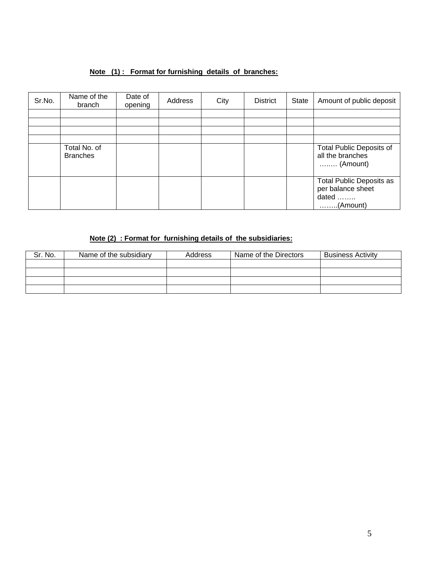# **Note (1) : Format for furnishing details of branches:**

| Sr.No. | Name of the<br>branch           | Date of<br>opening | Address | City | <b>District</b> | State | Amount of public deposit                                                    |
|--------|---------------------------------|--------------------|---------|------|-----------------|-------|-----------------------------------------------------------------------------|
|        |                                 |                    |         |      |                 |       |                                                                             |
|        |                                 |                    |         |      |                 |       |                                                                             |
|        |                                 |                    |         |      |                 |       |                                                                             |
|        |                                 |                    |         |      |                 |       |                                                                             |
|        | Total No. of<br><b>Branches</b> |                    |         |      |                 |       | <b>Total Public Deposits of</b><br>all the branches<br>$\ldots$ (Amount)    |
|        |                                 |                    |         |      |                 |       | Total Public Deposits as<br>per balance sheet<br>dated<br>$\ldots$ (Amount) |

# **Note (2) : Format for furnishing details of the subsidiaries:**

| Sr. No. | Name of the subsidiary | Address | Name of the Directors | <b>Business Activity</b> |
|---------|------------------------|---------|-----------------------|--------------------------|
|         |                        |         |                       |                          |
|         |                        |         |                       |                          |
|         |                        |         |                       |                          |
|         |                        |         |                       |                          |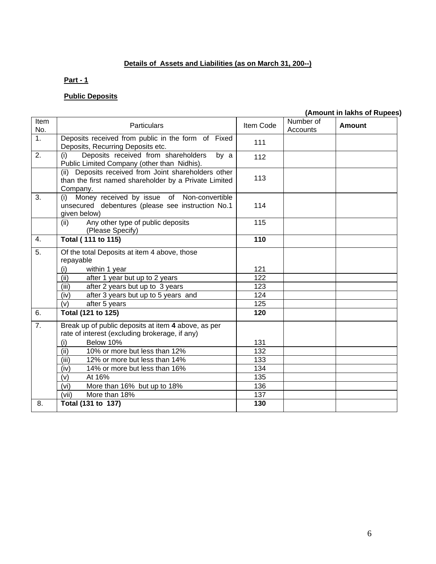# **Details of Assets and Liabilities (as on March 31, 200--)**

### **Part - 1**

# **Public Deposits**

# **(Amount in lakhs of Rupees)**

| Item<br>No.      | Particulars                                                                                                               | Item Code | Number of<br>Accounts | Amount |
|------------------|---------------------------------------------------------------------------------------------------------------------------|-----------|-----------------------|--------|
| $\overline{1}$ . | Deposits received from public in the form of Fixed<br>Deposits, Recurring Deposits etc.                                   | 111       |                       |        |
| 2.               | Deposits received from shareholders<br>(i)<br>by a<br>Public Limited Company (other than Nidhis).                         | 112       |                       |        |
|                  | (ii) Deposits received from Joint shareholders other<br>than the first named shareholder by a Private Limited<br>Company. | 113       |                       |        |
| 3.               | Money received by issue of Non-convertible<br>(i)<br>unsecured debentures (please see instruction No.1<br>given below)    | 114       |                       |        |
|                  | Any other type of public deposits<br>(ii)<br>(Please Specify)                                                             | 115       |                       |        |
| 4.               | <b>Total (111 to 115)</b>                                                                                                 | 110       |                       |        |
| $\overline{5}$ . | Of the total Deposits at item 4 above, those<br>repayable                                                                 |           |                       |        |
|                  | (i)<br>within 1 year                                                                                                      | 121       |                       |        |
|                  | (iii)<br>after 1 year but up to 2 years                                                                                   | 122       |                       |        |
|                  | (iii)<br>after 2 years but up to 3 years                                                                                  | 123       |                       |        |
|                  | after 3 years but up to 5 years and<br>(iv)                                                                               | 124       |                       |        |
|                  | (v)<br>after 5 years                                                                                                      | 125       |                       |        |
| 6.               | Total (121 to 125)                                                                                                        | 120       |                       |        |
| 7.               | Break up of public deposits at item 4 above, as per                                                                       |           |                       |        |
|                  | rate of interest (excluding brokerage, if any)                                                                            |           |                       |        |
|                  | Below 10%<br>(i)                                                                                                          | 131       |                       |        |
|                  | (ii)<br>10% or more but less than 12%                                                                                     | 132       |                       |        |
|                  | (iii)<br>12% or more but less than 14%                                                                                    | 133       |                       |        |
|                  | 14% or more but less than 16%<br>(iv)                                                                                     | 134       |                       |        |
|                  | (v)<br>At 16%                                                                                                             | 135       |                       |        |
|                  | (vi)<br>More than 16% but up to 18%                                                                                       | 136       |                       |        |
|                  | (vii)<br>More than 18%                                                                                                    | 137       |                       |        |
| 8.               | Total (131 to 137)                                                                                                        | 130       |                       |        |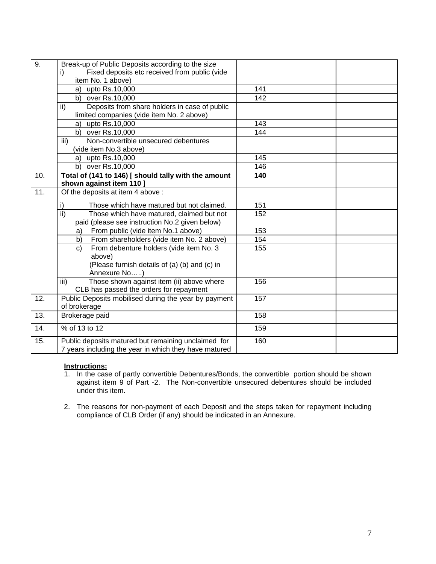| 9.                | Break-up of Public Deposits according to the size            |     |  |
|-------------------|--------------------------------------------------------------|-----|--|
|                   | Fixed deposits etc received from public (vide<br>i)          |     |  |
|                   | item No. 1 above)                                            |     |  |
|                   | a) upto $Rs.10,000$                                          | 141 |  |
|                   | b) over Rs.10,000                                            | 142 |  |
|                   | ii)<br>Deposits from share holders in case of public         |     |  |
|                   | limited companies (vide item No. 2 above)                    |     |  |
|                   | a) upto Rs.10,000                                            | 143 |  |
|                   | b) over Rs.10,000                                            | 144 |  |
|                   | iii)<br>Non-convertible unsecured debentures                 |     |  |
|                   | (vide item No.3 above)                                       |     |  |
|                   | a) upto Rs.10,000                                            | 145 |  |
|                   | b) over Rs.10,000                                            | 146 |  |
| 10.               | Total of (141 to 146) [ should tally with the amount         | 140 |  |
|                   | shown against item 110 ]                                     |     |  |
| $\overline{11}$ . | Of the deposits at item 4 above :                            |     |  |
|                   | i)<br>Those which have matured but not claimed.              | 151 |  |
|                   | $\overline{ii}$<br>Those which have matured, claimed but not | 152 |  |
|                   | paid (please see instruction No.2 given below)               |     |  |
|                   | From public (vide item No.1 above)<br>a)                     | 153 |  |
|                   | From shareholders (vide item No. 2 above)<br>b)              | 154 |  |
|                   | From debenture holders (vide item No. 3<br>C)                | 155 |  |
|                   | above)                                                       |     |  |
|                   | (Please furnish details of (a) (b) and (c) in                |     |  |
|                   | Annexure No)                                                 |     |  |
|                   | Those shown against item (ii) above where<br>iii)            | 156 |  |
|                   | CLB has passed the orders for repayment                      |     |  |
| 12.               | Public Deposits mobilised during the year by payment         | 157 |  |
|                   | of brokerage                                                 |     |  |
| 13.               | Brokerage paid                                               | 158 |  |
| 14.               | % of 13 to 12                                                | 159 |  |
| 15.               | Public deposits matured but remaining unclaimed for          | 160 |  |
|                   | 7 years including the year in which they have matured        |     |  |

### **Instructions:**

1. In the case of partly convertible Debentures/Bonds, the convertible portion should be shown against item 9 of Part -2. The Non-convertible unsecured debentures should be included under this item.

2. The reasons for non-payment of each Deposit and the steps taken for repayment including compliance of CLB Order (if any) should be indicated in an Annexure.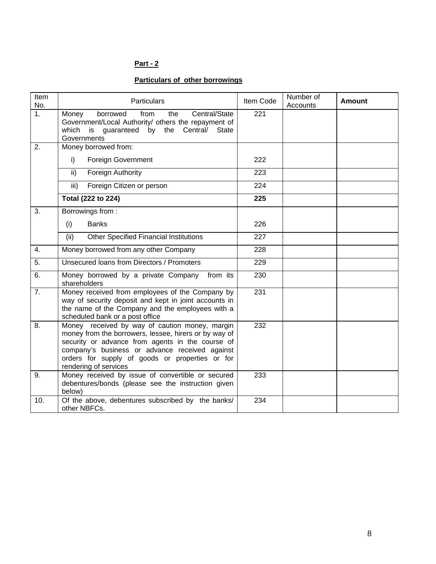### **Particulars of other borrowings**

| Item<br>No.      | <b>Particulars</b>                                                                                                                                                                                                                                                                        | Item Code | Number of<br>Accounts | <b>Amount</b> |
|------------------|-------------------------------------------------------------------------------------------------------------------------------------------------------------------------------------------------------------------------------------------------------------------------------------------|-----------|-----------------------|---------------|
| $\overline{1}$ . | Central/State<br>Money<br>borrowed<br>from<br>the<br>Government/Local Authority/ others the repayment of<br>by<br>the<br>Central/<br>which is guaranteed<br><b>State</b><br>Governments                                                                                                   | 221       |                       |               |
| 2.               | Money borrowed from:                                                                                                                                                                                                                                                                      |           |                       |               |
|                  | <b>Foreign Government</b><br>i)                                                                                                                                                                                                                                                           | 222       |                       |               |
|                  | Foreign Authority<br>ii)                                                                                                                                                                                                                                                                  | 223       |                       |               |
|                  | iii)<br>Foreign Citizen or person                                                                                                                                                                                                                                                         | 224       |                       |               |
|                  | Total (222 to 224)                                                                                                                                                                                                                                                                        | 225       |                       |               |
| 3.               | Borrowings from:                                                                                                                                                                                                                                                                          |           |                       |               |
|                  | <b>Banks</b><br>(i)                                                                                                                                                                                                                                                                       | 226       |                       |               |
|                  | (ii)<br><b>Other Specified Financial Institutions</b>                                                                                                                                                                                                                                     | 227       |                       |               |
| 4.               | Money borrowed from any other Company                                                                                                                                                                                                                                                     | 228       |                       |               |
| 5.               | Unsecured loans from Directors / Promoters                                                                                                                                                                                                                                                | 229       |                       |               |
| 6.               | Money borrowed by a private Company<br>from its<br>shareholders                                                                                                                                                                                                                           | 230       |                       |               |
| 7.               | Money received from employees of the Company by<br>way of security deposit and kept in joint accounts in<br>the name of the Company and the employees with a<br>scheduled bank or a post office                                                                                           | 231       |                       |               |
| 8.               | Money received by way of caution money, margin<br>money from the borrowers, lessee, hirers or by way of<br>security or advance from agents in the course of<br>company's business or advance received against<br>orders for supply of goods or properties or for<br>rendering of services | 232       |                       |               |
| 9.               | Money received by issue of convertible or secured<br>debentures/bonds (please see the instruction given<br>below)                                                                                                                                                                         | 233       |                       |               |
| 10.              | Of the above, debentures subscribed by the banks/<br>other NBFCs.                                                                                                                                                                                                                         | 234       |                       |               |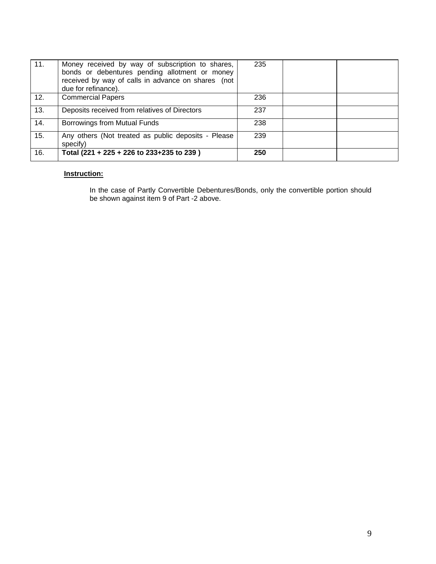| 11. | Money received by way of subscription to shares,<br>bonds or debentures pending allotment or money<br>received by way of calls in advance on shares (not<br>due for refinance). | 235 |  |
|-----|---------------------------------------------------------------------------------------------------------------------------------------------------------------------------------|-----|--|
| 12. | <b>Commercial Papers</b>                                                                                                                                                        | 236 |  |
| 13. | Deposits received from relatives of Directors                                                                                                                                   | 237 |  |
| 14. | Borrowings from Mutual Funds                                                                                                                                                    | 238 |  |
| 15. | Any others (Not treated as public deposits - Please<br>specify)                                                                                                                 | 239 |  |
| 16. | Total (221 + 225 + 226 to 233+235 to 239)                                                                                                                                       | 250 |  |

### **Instruction:**

In the case of Partly Convertible Debentures/Bonds, only the convertible portion should be shown against item 9 of Part -2 above.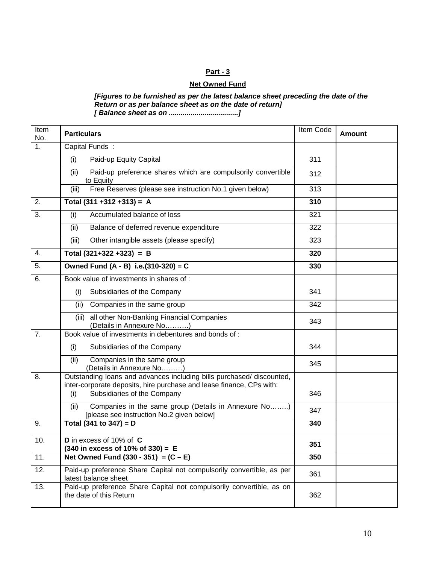### **Net Owned Fund**

*[Figures to be furnished as per the latest balance sheet preceding the date of the Return or as per balance sheet as on the date of return] [ Balance sheet as on ...................................]* 

| Item<br>No. | <b>Particulars</b>                                                                                                                                                                  | Item Code | Amount |
|-------------|-------------------------------------------------------------------------------------------------------------------------------------------------------------------------------------|-----------|--------|
| 1.          | Capital Funds:                                                                                                                                                                      |           |        |
|             | Paid-up Equity Capital<br>(i)                                                                                                                                                       | 311       |        |
|             | (ii)<br>Paid-up preference shares which are compulsorily convertible<br>to Equity                                                                                                   | 312       |        |
|             | Free Reserves (please see instruction No.1 given below)<br>(iii)                                                                                                                    | 313       |        |
| 2.          | Total $(311 + 312 + 313) = A$                                                                                                                                                       | 310       |        |
| 3.          | Accumulated balance of loss<br>(i)                                                                                                                                                  | 321       |        |
|             | Balance of deferred revenue expenditure<br>(ii)                                                                                                                                     | 322       |        |
|             | Other intangible assets (please specify)<br>(iii)                                                                                                                                   | 323       |        |
| 4.          | Total $(321+322+323) = B$                                                                                                                                                           | 320       |        |
| 5.          | Owned Fund (A - B) i.e.(310-320) = C                                                                                                                                                | 330       |        |
| 6.          | Book value of investments in shares of :                                                                                                                                            |           |        |
|             | Subsidiaries of the Company<br>(i)                                                                                                                                                  | 341       |        |
|             | (ii)<br>Companies in the same group                                                                                                                                                 | 342       |        |
|             | all other Non-Banking Financial Companies<br>(iii)<br>(Details in Annexure No)                                                                                                      | 343       |        |
| 7.          | Book value of investments in debentures and bonds of :                                                                                                                              |           |        |
|             | Subsidiaries of the Company<br>(i)                                                                                                                                                  | 344       |        |
|             | Companies in the same group<br>(ii)<br>(Details in Annexure No)                                                                                                                     | 345       |        |
| 8.          | Outstanding loans and advances including bills purchased/ discounted,<br>inter-corporate deposits, hire purchase and lease finance, CPs with:<br>Subsidiaries of the Company<br>(i) | 346       |        |
|             | Companies in the same group (Details in Annexure No)<br>(ii)<br>[please see instruction No.2 given below]                                                                           | 347       |        |
| 9.          | Total (341 to 347) = $D$                                                                                                                                                            | 340       |        |
| 10.         | D in excess of 10% of C<br>$(340$ in excess of 10% of 330) = E                                                                                                                      | 351       |        |
| 11.         | Net Owned Fund $(330 - 351) = (C - E)$                                                                                                                                              | 350       |        |
| 12.         | Paid-up preference Share Capital not compulsorily convertible, as per<br>latest balance sheet                                                                                       | 361       |        |
| 13.         | Paid-up preference Share Capital not compulsorily convertible, as on<br>the date of this Return                                                                                     | 362       |        |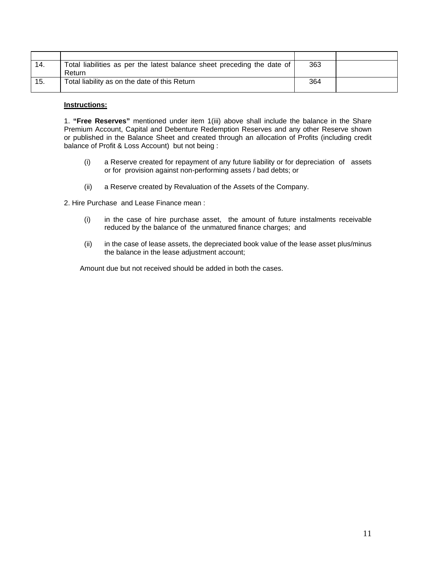| 14. | Total liabilities as per the latest balance sheet preceding the date of<br>Return | 363 |  |
|-----|-----------------------------------------------------------------------------------|-----|--|
| 15. | Total liability as on the date of this Return                                     | 364 |  |

#### **Instructions:**

1. **"Free Reserves"** mentioned under item 1(iii) above shall include the balance in the Share Premium Account, Capital and Debenture Redemption Reserves and any other Reserve shown or published in the Balance Sheet and created through an allocation of Profits (including credit balance of Profit & Loss Account) but not being :

- (i) a Reserve created for repayment of any future liability or for depreciation of assets or for provision against non-performing assets / bad debts; or
- (ii) a Reserve created by Revaluation of the Assets of the Company.

2. Hire Purchase and Lease Finance mean :

- (i) in the case of hire purchase asset, the amount of future instalments receivable reduced by the balance of the unmatured finance charges; and
- (ii) in the case of lease assets, the depreciated book value of the lease asset plus/minus the balance in the lease adjustment account;

Amount due but not received should be added in both the cases.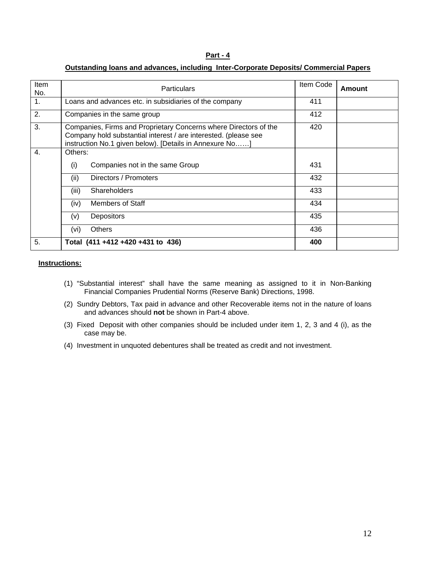### **Outstanding loans and advances, including Inter-Corporate Deposits/ Commercial Papers**

| Item<br>No. | <b>Particulars</b>                                                                                                                                                                             | Item Code | Amount |
|-------------|------------------------------------------------------------------------------------------------------------------------------------------------------------------------------------------------|-----------|--------|
| 1.          | Loans and advances etc. in subsidiaries of the company                                                                                                                                         | 411       |        |
| 2.          | Companies in the same group                                                                                                                                                                    | 412       |        |
| 3.          | Companies, Firms and Proprietary Concerns where Directors of the<br>Company hold substantial interest / are interested. (please see<br>instruction No.1 given below). [Details in Annexure No] | 420       |        |
| 4.          | Others:                                                                                                                                                                                        |           |        |
|             | Companies not in the same Group<br>(i)                                                                                                                                                         | 431       |        |
|             | (ii)<br>Directors / Promoters                                                                                                                                                                  | 432       |        |
|             | <b>Shareholders</b><br>(iii)                                                                                                                                                                   | 433       |        |
|             | Members of Staff<br>(iv)                                                                                                                                                                       | 434       |        |
|             | <b>Depositors</b><br>(v)                                                                                                                                                                       | 435       |        |
|             | Others<br>(vi)                                                                                                                                                                                 | 436       |        |
| 5.          | Total (411 +412 +420 +431 to 436)                                                                                                                                                              | 400       |        |

#### **Instructions:**

- (1) "Substantial interest" shall have the same meaning as assigned to it in Non-Banking Financial Companies Prudential Norms (Reserve Bank) Directions, 1998.
- (2) Sundry Debtors, Tax paid in advance and other Recoverable items not in the nature of loans and advances should **not** be shown in Part-4 above.
- (3) Fixed Deposit with other companies should be included under item 1, 2, 3 and 4 (i), as the case may be.
- (4) Investment in unquoted debentures shall be treated as credit and not investment.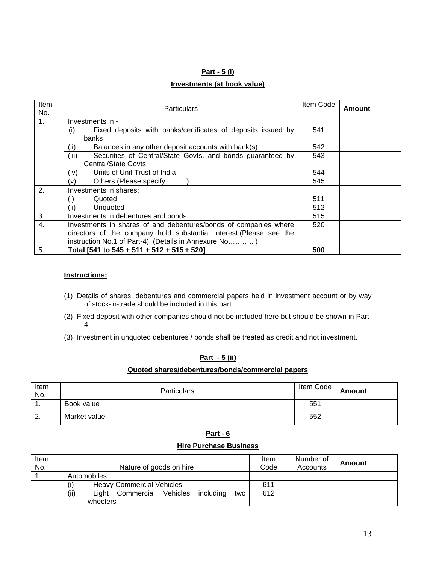#### **Part - 5 (i)**

#### **Investments (at book value)**

| <b>Item</b><br>No. | <b>Particulars</b>                                                  | Item Code | Amount |
|--------------------|---------------------------------------------------------------------|-----------|--------|
| $\mathbf{1}$ .     | Investments in -                                                    |           |        |
|                    | Fixed deposits with banks/certificates of deposits issued by<br>(i) | 541       |        |
|                    | banks                                                               |           |        |
|                    | Balances in any other deposit accounts with bank(s)<br>(ii)         | 542       |        |
|                    | (iii)<br>Securities of Central/State Govts. and bonds guaranteed by | 543       |        |
|                    | Central/State Govts.                                                |           |        |
|                    | Units of Unit Trust of India<br>(iv)                                | 544       |        |
|                    | Others (Please specify)<br>(v)                                      | 545       |        |
| 2.                 | Investments in shares:                                              |           |        |
|                    | Quoted<br>(i)                                                       | 511       |        |
|                    | Unquoted<br>(ii)                                                    | 512       |        |
| 3.                 | Investments in debentures and bonds                                 | 515       |        |
| $\overline{4}$ .   | Investments in shares of and debentures/bonds of companies where    | 520       |        |
|                    | directors of the company hold substantial interest. (Please see the |           |        |
|                    | instruction No.1 of Part-4). (Details in Annexure No)               |           |        |
| 5.                 | Total [541 to 545 + 511 + 512 + 515 + 520]                          | 500       |        |

#### **Instructions:**

- (1) Details of shares, debentures and commercial papers held in investment account or by way of stock-in-trade should be included in this part.
- (2) Fixed deposit with other companies should not be included here but should be shown in Part-4
- (3) Investment in unquoted debentures / bonds shall be treated as credit and not investment.

### **Part - 5 (ii)**

### **Quoted shares/debentures/bonds/commercial papers**

| Item<br>No. | <b>Particulars</b> | Item Code | <b>Amount</b> |
|-------------|--------------------|-----------|---------------|
| . .         | Book value         | 551       |               |
| 2.          | Market value       | 552       |               |

|--|--|

#### **Hire Purchase Business**

| Item<br>No. |                                                             | Item<br>Code | Number of<br>Accounts | Amount |
|-------------|-------------------------------------------------------------|--------------|-----------------------|--------|
|             | Nature of goods on hire                                     |              |                       |        |
|             | Automobiles:                                                |              |                       |        |
|             | (i)<br><b>Heavy Commercial Vehicles</b>                     | 611          |                       |        |
|             | (ii)<br>Vehicles<br>Commercial<br>including<br>Liaht<br>two | 612          |                       |        |
|             | wheelers                                                    |              |                       |        |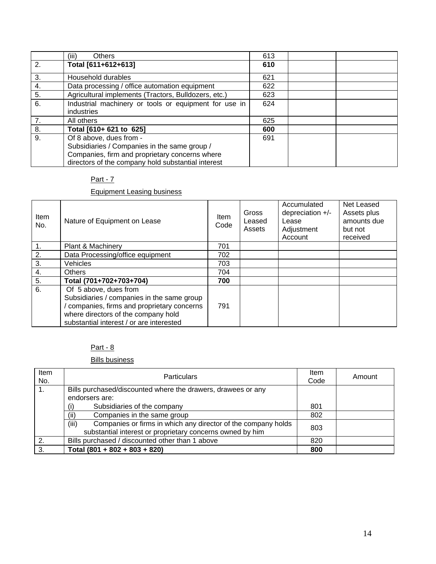|                  | <b>Others</b><br>(iii)                                | 613 |  |
|------------------|-------------------------------------------------------|-----|--|
| 2.               | Total [611+612+613]                                   | 610 |  |
| 3.               | Household durables                                    | 621 |  |
| 4.               | Data processing / office automation equipment         | 622 |  |
| 5.               | Agricultural implements (Tractors, Bulldozers, etc.)  | 623 |  |
| $\overline{6}$ . | Industrial machinery or tools or equipment for use in | 624 |  |
|                  | industries                                            |     |  |
| 7.               | All others                                            | 625 |  |
| 8.               | Total [610+ 621 to 625]                               | 600 |  |
| 9.               | Of 8 above, dues from -                               | 691 |  |
|                  | Subsidiaries / Companies in the same group /          |     |  |
|                  | Companies, firm and proprietary concerns where        |     |  |
|                  | directors of the company hold substantial interest    |     |  |

### Equipment Leasing business

| Item<br>No. | Nature of Equipment on Lease                                                                                                                                                                        | <b>Item</b><br>Code | Gross<br>Leased<br>Assets | Accumulated<br>depreciation $+/-$<br>Lease<br>Adjustment<br>Account | Net Leased<br>Assets plus<br>amounts due<br>but not<br>received |
|-------------|-----------------------------------------------------------------------------------------------------------------------------------------------------------------------------------------------------|---------------------|---------------------------|---------------------------------------------------------------------|-----------------------------------------------------------------|
| 1.          | Plant & Machinery                                                                                                                                                                                   | 701                 |                           |                                                                     |                                                                 |
| 2.          | Data Processing/office equipment                                                                                                                                                                    | 702                 |                           |                                                                     |                                                                 |
| 3.          | Vehicles                                                                                                                                                                                            | 703                 |                           |                                                                     |                                                                 |
| 4.          | <b>Others</b>                                                                                                                                                                                       | 704                 |                           |                                                                     |                                                                 |
| 5.          | Total (701+702+703+704)                                                                                                                                                                             | 700                 |                           |                                                                     |                                                                 |
| 6.          | Of 5 above, dues from<br>Subsidiaries / companies in the same group<br>companies, firms and proprietary concerns<br>where directors of the company hold<br>substantial interest / or are interested | 791                 |                           |                                                                     |                                                                 |

# Part - 8

### Bills business

| Item<br>No. | <b>Particulars</b>                                                                                                                  | Item<br>Code | Amount |
|-------------|-------------------------------------------------------------------------------------------------------------------------------------|--------------|--------|
|             | Bills purchased/discounted where the drawers, drawees or any                                                                        |              |        |
|             | endorsers are:                                                                                                                      |              |        |
|             | Subsidiaries of the company<br>(i)                                                                                                  | 801          |        |
|             | Companies in the same group<br>(ii)                                                                                                 | 802          |        |
|             | (iii)<br>Companies or firms in which any director of the company holds<br>substantial interest or proprietary concerns owned by him | 803          |        |
| 2.          | Bills purchased / discounted other than 1 above                                                                                     | 820          |        |
| 3           | Total $(801 + 802 + 803 + 820)$                                                                                                     | 800          |        |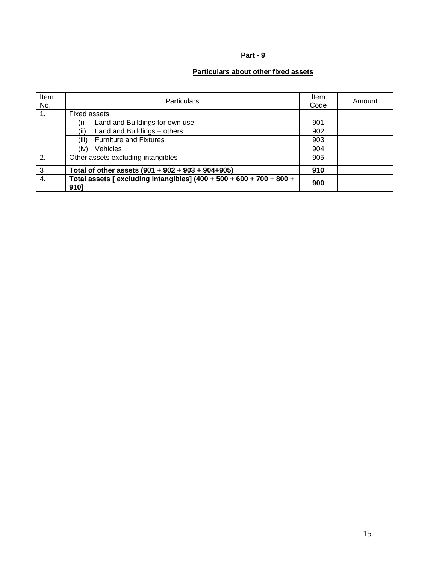# **Particulars about other fixed assets**

| Item<br>No. | <b>Particulars</b>                                                           | Item<br>Code | Amount |
|-------------|------------------------------------------------------------------------------|--------------|--------|
| 1.          | Fixed assets                                                                 |              |        |
|             | Land and Buildings for own use                                               | 901          |        |
|             | (ii)<br>Land and Buildings - others                                          | 902          |        |
|             | <b>Furniture and Fixtures</b><br>(iii)                                       | 903          |        |
|             | <b>Vehicles</b><br>(iv)                                                      | 904          |        |
| 2.          | Other assets excluding intangibles                                           | 905          |        |
| 3           | Total of other assets (901 + 902 + 903 + 904+905)                            | 910          |        |
| 4.          | Total assets [ excluding intangibles] (400 + 500 + 600 + 700 + 800 +<br>9101 | 900          |        |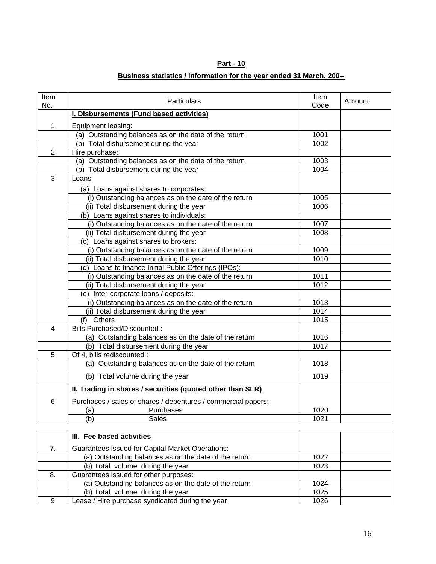# **Business statistics / information for the year ended 31 March, 200--**

| Item<br>No.    | <b>Particulars</b>                                            | Item<br>Code | Amount |
|----------------|---------------------------------------------------------------|--------------|--------|
|                | I. Disbursements (Fund based activities)                      |              |        |
| 1              | Equipment leasing:                                            |              |        |
|                | (a) Outstanding balances as on the date of the return         | 1001         |        |
|                | (b) Total disbursement during the year                        | 1002         |        |
| $\overline{2}$ | Hire purchase:                                                |              |        |
|                | (a) Outstanding balances as on the date of the return         | 1003         |        |
|                | (b) Total disbursement during the year                        | 1004         |        |
| $\overline{3}$ | Loans                                                         |              |        |
|                | (a) Loans against shares to corporates:                       |              |        |
|                | (i) Outstanding balances as on the date of the return         | 1005         |        |
|                | (ii) Total disbursement during the year                       | 1006         |        |
|                | (b) Loans against shares to individuals:                      |              |        |
|                | (i) Outstanding balances as on the date of the return         | 1007         |        |
|                | (ii) Total disbursement during the year                       | 1008         |        |
|                | (c) Loans against shares to brokers:                          |              |        |
|                | (i) Outstanding balances as on the date of the return         | 1009         |        |
|                | (ii) Total disbursement during the year                       | 1010         |        |
|                | (d) Loans to finance Initial Public Offerings (IPOs):         |              |        |
|                | (i) Outstanding balances as on the date of the return         | 1011         |        |
|                | (ii) Total disbursement during the year                       | 1012         |        |
|                | (e) Inter-corporate loans / deposits:                         |              |        |
|                | (i) Outstanding balances as on the date of the return         | 1013         |        |
|                | (ii) Total disbursement during the year                       | 1014         |        |
|                | (f) Others                                                    | 1015         |        |
| 4              | Bills Purchased/Discounted:                                   |              |        |
|                | (a) Outstanding balances as on the date of the return         | 1016         |        |
|                | (b) Total disbursement during the year                        | 1017         |        |
| 5              | Of 4, bills rediscounted :                                    |              |        |
|                | (a) Outstanding balances as on the date of the return         | 1018         |        |
|                | (b) Total volume during the year                              | 1019         |        |
|                | II. Trading in shares / securities (quoted other than SLR)    |              |        |
| $6\phantom{1}$ | Purchases / sales of shares / debentures / commercial papers: |              |        |
|                | Purchases<br>(a)                                              | 1020         |        |
|                | $\overline{(\mathsf{b})}$<br><b>Sales</b>                     | 1021         |        |
|                |                                                               |              |        |

|    | III. Fee based activities                               |      |  |
|----|---------------------------------------------------------|------|--|
|    | <b>Guarantees issued for Capital Market Operations:</b> |      |  |
|    | (a) Outstanding balances as on the date of the return   | 1022 |  |
|    | (b) Total volume during the year                        | 1023 |  |
| 8. | Guarantees issued for other purposes:                   |      |  |
|    | (a) Outstanding balances as on the date of the return   | 1024 |  |
|    | (b) Total volume during the year                        | 1025 |  |
| Ω  | Lease / Hire purchase syndicated during the year        | 1026 |  |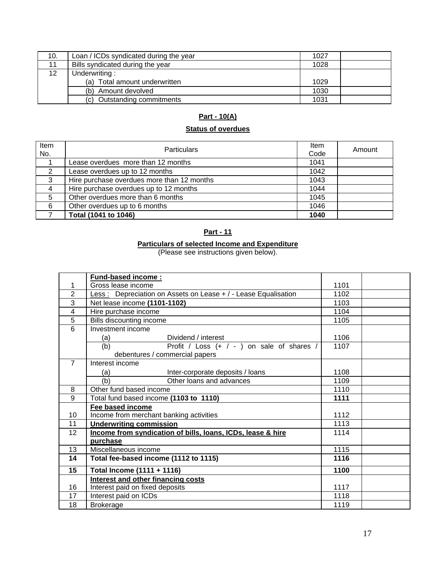| 10.             | Loan / ICDs syndicated during the year | 1027 |  |
|-----------------|----------------------------------------|------|--|
|                 | Bills syndicated during the year       | 1028 |  |
| 12 <sup>°</sup> | Underwriting:                          |      |  |
|                 | (a) Total amount underwritten          | 1029 |  |
|                 | Amount devolved<br>(b)                 | 1030 |  |
|                 | <b>Outstanding commitments</b><br>(C). | 1031 |  |

# **Part - 10(A)**

# **Status of overdues**

| Item<br>No.   | <b>Particulars</b>                         | Item<br>Code | Amount |
|---------------|--------------------------------------------|--------------|--------|
|               | Lease overdues more than 12 months         | 1041         |        |
| $\mathcal{P}$ | Lease overdues up to 12 months             | 1042         |        |
| 3             | Hire purchase overdues more than 12 months | 1043         |        |
| 4             | Hire purchase overdues up to 12 months     | 1044         |        |
| 5             | Other overdues more than 6 months          | 1045         |        |
| 6             | Other overdues up to 6 months              | 1046         |        |
|               | Total (1041 to 1046)                       | 1040         |        |

### **Part - 11**

#### **Particulars of selected Income and Expenditure**

(Please see instructions given below).

|                         | <b>Fund-based income:</b>                                           |      |  |
|-------------------------|---------------------------------------------------------------------|------|--|
| 1                       | Gross lease income                                                  | 1101 |  |
| $\overline{2}$          | Less: Depreciation on Assets on Lease + / - Lease Equalisation      | 1102 |  |
| $\overline{3}$          | Net lease income (1101-1102)                                        | 1103 |  |
| $\overline{\mathbf{4}}$ | Hire purchase income                                                | 1104 |  |
| 5                       | Bills discounting income                                            | 1105 |  |
| $\overline{6}$          | Investment income                                                   |      |  |
|                         | Dividend / interest<br>(a)                                          | 1106 |  |
|                         | Profit / Loss $(+ / -)$ on sale of shares /<br>(b)                  | 1107 |  |
|                         | debentures / commercial papers                                      |      |  |
| $\overline{7}$          | Interest income                                                     |      |  |
|                         | Inter-corporate deposits / loans<br>(a)                             | 1108 |  |
|                         | (b)<br>Other loans and advances                                     | 1109 |  |
| 8                       | Other fund based income                                             | 1110 |  |
| 9                       | Total fund based income (1103 to 1110)                              | 1111 |  |
|                         | Fee based income                                                    |      |  |
| 10                      | Income from merchant banking activities<br>1112                     |      |  |
| 11                      | 1113<br><b>Underwriting commission</b>                              |      |  |
| 12                      | Income from syndication of bills, loans, ICDs, lease & hire<br>1114 |      |  |
|                         | purchase                                                            |      |  |
| 13                      | Miscellaneous income                                                | 1115 |  |
| 14                      | Total fee-based income (1112 to 1115)<br>1116                       |      |  |
| 15                      | Total Income (1111 + 1116)                                          | 1100 |  |
|                         | <b>Interest and other financing costs</b>                           |      |  |
| 16                      | Interest paid on fixed deposits                                     | 1117 |  |
| 17                      | Interest paid on ICDs                                               | 1118 |  |
| 18                      | <b>Brokerage</b>                                                    | 1119 |  |
|                         |                                                                     |      |  |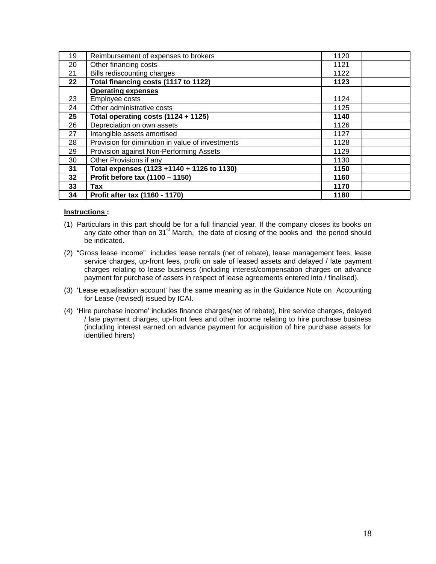| 19      | Reimbursement of expenses to brokers             | 1120 |  |
|---------|--------------------------------------------------|------|--|
| 20      | Other financing costs                            | 1121 |  |
| 21      | Bills rediscounting charges                      | 1122 |  |
| $22 \,$ | Total financing costs (1117 to 1122)             | 1123 |  |
|         | <b>Operating expenses</b>                        |      |  |
| 23      | Employee costs                                   | 1124 |  |
| 24      | Other administrative costs                       | 1125 |  |
| 25      | Total operating costs (1124 + 1125)              | 1140 |  |
| 26      | Depreciation on own assets                       | 1126 |  |
| 27      | Intangible assets amortised                      | 1127 |  |
| 28      | Provision for diminution in value of investments | 1128 |  |
| 29      | Provision against Non-Performing Assets          | 1129 |  |
| 30      | Other Provisions if any                          | 1130 |  |
| 31      | Total expenses (1123 +1140 + 1126 to 1130)       | 1150 |  |
| 32      | Profit before tax (1100 - 1150)                  | 1160 |  |
| 33      | Tax                                              | 1170 |  |
| 34      | Profit after tax (1160 - 1170)                   | 1180 |  |

#### **Instructions :**

- (1) Particulars in this part should be for a full financial year. If the company closes its books on any date other than on 31<sup>st</sup> March, the date of closing of the books and the period should be indicated.
- (2) "Gross lease income" includes lease rentals (net of rebate), lease management fees, lease service charges, up-front fees, profit on sale of leased assets and delayed / late payment charges relating to lease business (including interest/compensation charges on advance payment for purchase of assets in respect of lease agreements entered into / finalised).
- (3) 'Lease equalisation account' has the same meaning as in the Guidance Note on Accounting for Lease (revised) issued by ICAI.
- (4) 'Hire purchase income' includes finance charges(net of rebate), hire service charges, delayed / late payment charges, up-front fees and other income relating to hire purchase business (including interest earned on advance payment for acquisition of hire purchase assets for identified hirers)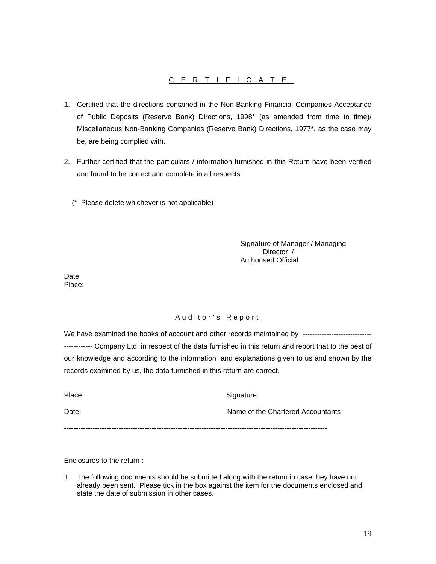### CERTIFICATE

- 1. Certified that the directions contained in the Non-Banking Financial Companies Acceptance of Public Deposits (Reserve Bank) Directions, 1998\* (as amended from time to time)/ Miscellaneous Non-Banking Companies (Reserve Bank) Directions, 1977\*, as the case may be, are being complied with.
- 2. Further certified that the particulars / information furnished in this Return have been verified and found to be correct and complete in all respects.
	- (\* Please delete whichever is not applicable)

Signature of Manager / Managing Director / Authorised Official

Date: Place:

### Auditor's Report

We have examined the books of account and other records maintained by ----------------------------------------- Company Ltd. in respect of the data furnished in this return and report that to the best of our knowledge and according to the information and explanations given to us and shown by the records examined by us, the data furnished in this return are correct.

| Place: | Signature:                        |
|--------|-----------------------------------|
| Date:  | Name of the Chartered Accountants |

**---------------------------------------------------------------------------------------------------------------** 

Enclosures to the return :

1. The following documents should be submitted along with the return in case they have not already been sent. Please tick in the box against the item for the documents enclosed and state the date of submission in other cases.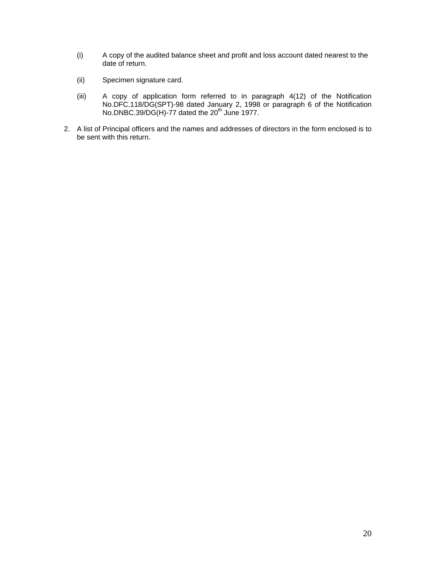- (i) A copy of the audited balance sheet and profit and loss account dated nearest to the date of return.
- (ii) Specimen signature card.
- (iii) A copy of application form referred to in paragraph 4(12) of the Notification No.DFC.118/DG(SPT)-98 dated January 2, 1998 or paragraph 6 of the Notification No.DNBC.39/DG(H)-77 dated the  $20<sup>th</sup>$  June 1977.
- 2. A list of Principal officers and the names and addresses of directors in the form enclosed is to be sent with this return.